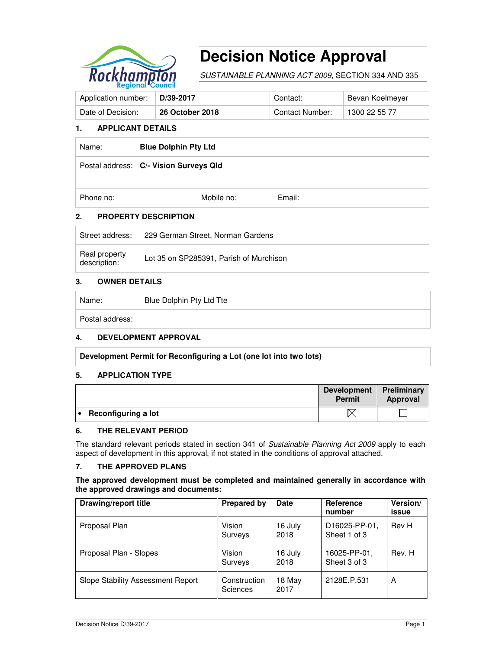

# **Decision Notice Approval**

SUSTAINABLE PLANNING ACT 2009, SECTION 334 AND 335

| Application number:   D/39-2017 |                 | Contact:        | Bevan Koelmeyer |
|---------------------------------|-----------------|-----------------|-----------------|
| Date of Decision:               | 26 October 2018 | Contact Number: | 1300 22 55 77   |

#### **1. APPLICANT DETAILS**

| Name:     | <b>Blue Dolphin Pty Ltd</b>            |        |  |
|-----------|----------------------------------------|--------|--|
|           | Postal address: C/- Vision Surveys Qld |        |  |
| Phone no: | Mobile no:                             | Email: |  |

#### **2. PROPERTY DESCRIPTION**

| Street address:               | 229 German Street, Norman Gardens       |
|-------------------------------|-----------------------------------------|
| Real property<br>description: | Lot 35 on SP285391, Parish of Murchison |

### **3. OWNER DETAILS**

Name: Blue Dolphin Pty Ltd Tte

Postal address:

## **4. DEVELOPMENT APPROVAL**

**Development Permit for Reconfiguring a Lot (one lot into two lots)** 

#### **5. APPLICATION TYPE**

|                     | <b>Development</b><br><b>Permit</b> | Preliminary<br>Approval |
|---------------------|-------------------------------------|-------------------------|
| Reconfiguring a lot | $\bowtie$                           |                         |

#### **6. THE RELEVANT PERIOD**

The standard relevant periods stated in section 341 of Sustainable Planning Act 2009 apply to each aspect of development in this approval, if not stated in the conditions of approval attached.

#### **7. THE APPROVED PLANS**

#### **The approved development must be completed and maintained generally in accordance with the approved drawings and documents:**

| Drawing/report title              | <b>Prepared by</b>       | Date            | <b>Reference</b><br>number    | Version/<br>issue |
|-----------------------------------|--------------------------|-----------------|-------------------------------|-------------------|
| Proposal Plan                     | Vision<br>Surveys        | 16 July<br>2018 | D16025-PP-01,<br>Sheet 1 of 3 | Rev H             |
| Proposal Plan - Slopes            | Vision<br>Surveys        | 16 July<br>2018 | 16025-PP-01,<br>Sheet 3 of 3  | Rev. H            |
| Slope Stability Assessment Report | Construction<br>Sciences | 18 May<br>2017  | 2128E.P.531                   | A                 |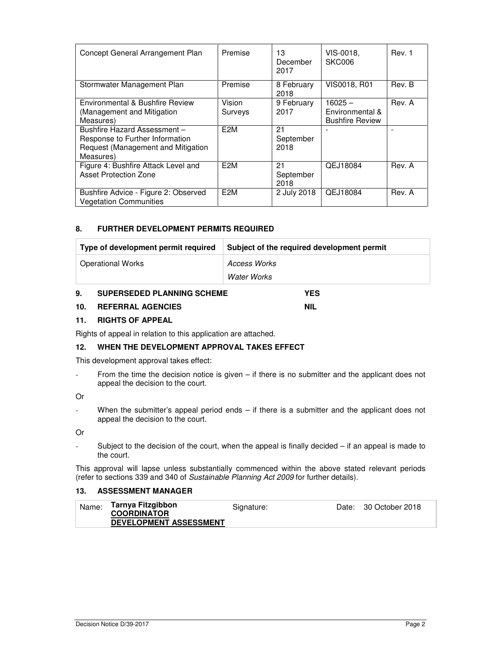| Concept General Arrangement Plan                                                                                  | Premise           | 13<br>December<br>2017  | VIS-0018,<br><b>SKC006</b>                             | Rev. 1 |
|-------------------------------------------------------------------------------------------------------------------|-------------------|-------------------------|--------------------------------------------------------|--------|
| Stormwater Management Plan                                                                                        | Premise           | 8 February<br>2018      | VIS0018, R01                                           | Rev. B |
| Environmental & Bushfire Review<br>(Management and Mitigation<br>Measures)                                        | Vision<br>Surveys | 9 February<br>2017      | $16025 -$<br>Environmental &<br><b>Bushfire Review</b> | Rev. A |
| Bushfire Hazard Assessment-<br>Response to Further Information<br>Request (Management and Mitigation<br>Measures) | F <sub>2</sub> M  | 21<br>September<br>2018 |                                                        |        |
| Figure 4: Bushfire Attack Level and<br><b>Asset Protection Zone</b>                                               | F <sub>2</sub> M  | 21<br>September<br>2018 | QEJ18084                                               | Rev. A |
| Bushfire Advice - Figure 2: Observed<br><b>Vegetation Communities</b>                                             | F <sub>2</sub> M  | 2 July 2018             | QEJ18084                                               | Rev. A |

#### **8. FURTHER DEVELOPMENT PERMITS REQUIRED**

| Type of development permit required | Subject of the required development permit |
|-------------------------------------|--------------------------------------------|
| <b>Operational Works</b>            | Access Works<br>Water Works                |
|                                     |                                            |

#### **9. SUPERSEDED PLANNING SCHEME YES**

## **10. REFERRAL AGENCIES NIL**

#### **11. RIGHTS OF APPEAL**

Rights of appeal in relation to this application are attached.

### **12. WHEN THE DEVELOPMENT APPROVAL TAKES EFFECT**

This development approval takes effect:

- From the time the decision notice is given – if there is no submitter and the applicant does not appeal the decision to the court.

#### Or

- When the submitter's appeal period ends – if there is a submitter and the applicant does not appeal the decision to the court.

Or

- Subject to the decision of the court, when the appeal is finally decided – if an appeal is made to the court.

This approval will lapse unless substantially commenced within the above stated relevant periods (refer to sections 339 and 340 of Sustainable Planning Act 2009 for further details).

#### **13. ASSESSMENT MANAGER**

| Name: | Tarnya Fitzgibbon<br><b>COORDINATOR</b> | Signature: | Date: 30 October 2018 |
|-------|-----------------------------------------|------------|-----------------------|
|       | <b>DEVELOPMENT ASSESSMENT</b>           |            |                       |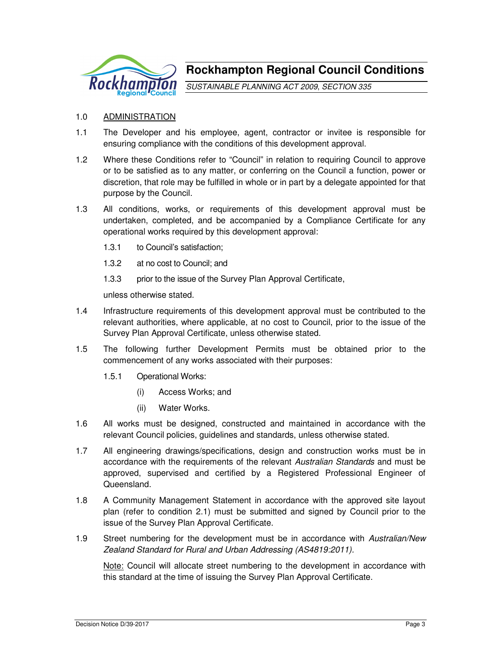

**Rockhampton Regional Council Conditions**

SUSTAINABLE PLANNING ACT 2009, SECTION 335

## 1.0 ADMINISTRATION

- 1.1 The Developer and his employee, agent, contractor or invitee is responsible for ensuring compliance with the conditions of this development approval.
- 1.2 Where these Conditions refer to "Council" in relation to requiring Council to approve or to be satisfied as to any matter, or conferring on the Council a function, power or discretion, that role may be fulfilled in whole or in part by a delegate appointed for that purpose by the Council.
- 1.3 All conditions, works, or requirements of this development approval must be undertaken, completed, and be accompanied by a Compliance Certificate for any operational works required by this development approval:
	- 1.3.1 to Council's satisfaction;
	- 1.3.2 at no cost to Council; and
	- 1.3.3 prior to the issue of the Survey Plan Approval Certificate,

unless otherwise stated.

- 1.4 Infrastructure requirements of this development approval must be contributed to the relevant authorities, where applicable, at no cost to Council, prior to the issue of the Survey Plan Approval Certificate, unless otherwise stated.
- 1.5 The following further Development Permits must be obtained prior to the commencement of any works associated with their purposes:
	- 1.5.1 Operational Works:
		- (i) Access Works; and
		- (ii) Water Works.
- 1.6 All works must be designed, constructed and maintained in accordance with the relevant Council policies, guidelines and standards, unless otherwise stated.
- 1.7 All engineering drawings/specifications, design and construction works must be in accordance with the requirements of the relevant Australian Standards and must be approved, supervised and certified by a Registered Professional Engineer of Queensland.
- 1.8 A Community Management Statement in accordance with the approved site layout plan (refer to condition 2.1) must be submitted and signed by Council prior to the issue of the Survey Plan Approval Certificate.
- 1.9 Street numbering for the development must be in accordance with Australian/New Zealand Standard for Rural and Urban Addressing (AS4819:2011).

Note: Council will allocate street numbering to the development in accordance with this standard at the time of issuing the Survey Plan Approval Certificate.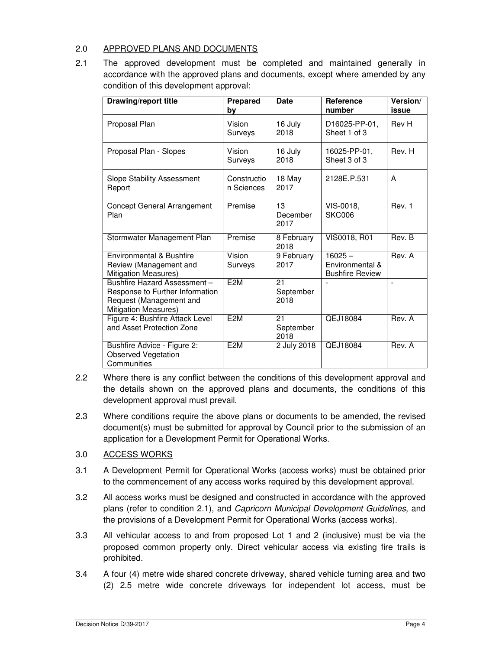# 2.0 APPROVED PLANS AND DOCUMENTS

2.1 The approved development must be completed and maintained generally in accordance with the approved plans and documents, except where amended by any condition of this development approval:

| <b>Drawing/report title</b>                                                                                              | Prepared<br>by            | <b>Date</b>             | <b>Reference</b><br>number                             | Version/<br>issue |
|--------------------------------------------------------------------------------------------------------------------------|---------------------------|-------------------------|--------------------------------------------------------|-------------------|
| Proposal Plan                                                                                                            | Vision<br>Surveys         | 16 July<br>2018         | D16025-PP-01,<br>Sheet 1 of 3                          | Rev H             |
| Proposal Plan - Slopes                                                                                                   | Vision<br>Surveys         | 16 July<br>2018         | 16025-PP-01,<br>Sheet 3 of 3                           | Rev. H            |
| <b>Slope Stability Assessment</b><br>Report                                                                              | Constructio<br>n Sciences | 18 May<br>2017          | 2128E.P.531                                            | A                 |
| <b>Concept General Arrangement</b><br>Plan                                                                               | Premise                   | 13<br>December<br>2017  | VIS-0018.<br><b>SKC006</b>                             | Rev. 1            |
| Stormwater Management Plan                                                                                               | Premise                   | 8 February<br>2018      | VIS0018, R01                                           | Rev. B            |
| Environmental & Bushfire<br>Review (Management and<br>Mitigation Measures)                                               | Vision<br>Surveys         | 9 February<br>2017      | $16025 -$<br>Environmental &<br><b>Bushfire Review</b> | Rev. A            |
| Bushfire Hazard Assessment-<br>Response to Further Information<br>Request (Management and<br><b>Mitigation Measures)</b> | E <sub>2M</sub>           | 21<br>September<br>2018 |                                                        |                   |
| Figure 4: Bushfire Attack Level<br>and Asset Protection Zone                                                             | E <sub>2</sub> M          | 21<br>September<br>2018 | QEJ18084                                               | Rev. A            |
| Bushfire Advice - Figure 2:<br><b>Observed Vegetation</b><br>Communities                                                 | E <sub>2M</sub>           | 2 July 2018             | QEJ18084                                               | Rev. A            |

- 2.2 Where there is any conflict between the conditions of this development approval and the details shown on the approved plans and documents, the conditions of this development approval must prevail.
- 2.3 Where conditions require the above plans or documents to be amended, the revised document(s) must be submitted for approval by Council prior to the submission of an application for a Development Permit for Operational Works.

# 3.0 ACCESS WORKS

- 3.1 A Development Permit for Operational Works (access works) must be obtained prior to the commencement of any access works required by this development approval.
- 3.2 All access works must be designed and constructed in accordance with the approved plans (refer to condition 2.1), and Capricorn Municipal Development Guidelines, and the provisions of a Development Permit for Operational Works (access works).
- 3.3 All vehicular access to and from proposed Lot 1 and 2 (inclusive) must be via the proposed common property only. Direct vehicular access via existing fire trails is prohibited.
- 3.4 A four (4) metre wide shared concrete driveway, shared vehicle turning area and two (2) 2.5 metre wide concrete driveways for independent lot access, must be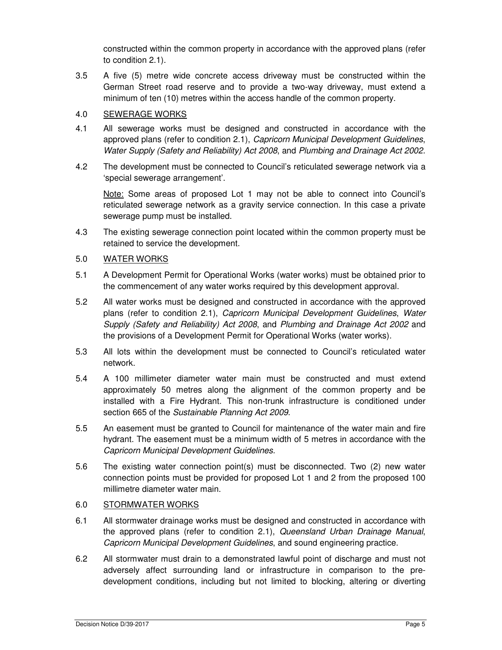constructed within the common property in accordance with the approved plans (refer to condition 2.1).

3.5 A five (5) metre wide concrete access driveway must be constructed within the German Street road reserve and to provide a two-way driveway, must extend a minimum of ten (10) metres within the access handle of the common property.

# 4.0 SEWERAGE WORKS

- 4.1 All sewerage works must be designed and constructed in accordance with the approved plans (refer to condition 2.1), Capricorn Municipal Development Guidelines, Water Supply (Safety and Reliability) Act 2008, and Plumbing and Drainage Act 2002.
- 4.2 The development must be connected to Council's reticulated sewerage network via a 'special sewerage arrangement'.

Note: Some areas of proposed Lot 1 may not be able to connect into Council's reticulated sewerage network as a gravity service connection. In this case a private sewerage pump must be installed.

4.3 The existing sewerage connection point located within the common property must be retained to service the development.

# 5.0 WATER WORKS

- 5.1 A Development Permit for Operational Works (water works) must be obtained prior to the commencement of any water works required by this development approval.
- 5.2 All water works must be designed and constructed in accordance with the approved plans (refer to condition 2.1), Capricorn Municipal Development Guidelines, Water Supply (Safety and Reliability) Act 2008, and Plumbing and Drainage Act 2002 and the provisions of a Development Permit for Operational Works (water works).
- 5.3 All lots within the development must be connected to Council's reticulated water network.
- 5.4 A 100 millimeter diameter water main must be constructed and must extend approximately 50 metres along the alignment of the common property and be installed with a Fire Hydrant. This non-trunk infrastructure is conditioned under section 665 of the Sustainable Planning Act 2009.
- 5.5 An easement must be granted to Council for maintenance of the water main and fire hydrant. The easement must be a minimum width of 5 metres in accordance with the Capricorn Municipal Development Guidelines.
- 5.6 The existing water connection point(s) must be disconnected. Two (2) new water connection points must be provided for proposed Lot 1 and 2 from the proposed 100 millimetre diameter water main.

## 6.0 STORMWATER WORKS

- 6.1 All stormwater drainage works must be designed and constructed in accordance with the approved plans (refer to condition 2.1), Queensland Urban Drainage Manual, Capricorn Municipal Development Guidelines, and sound engineering practice.
- 6.2 All stormwater must drain to a demonstrated lawful point of discharge and must not adversely affect surrounding land or infrastructure in comparison to the predevelopment conditions, including but not limited to blocking, altering or diverting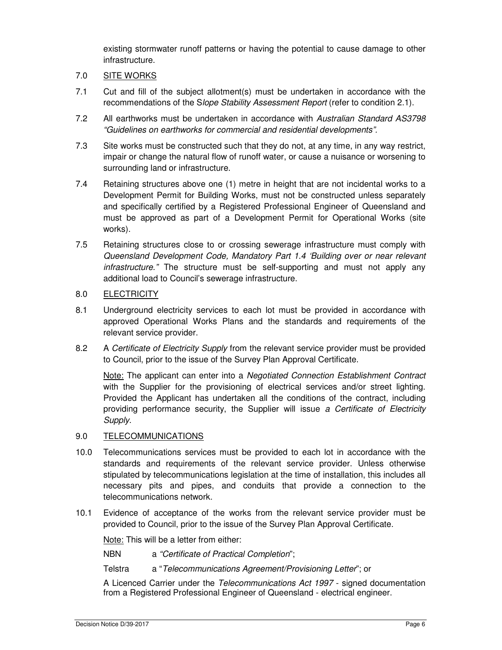existing stormwater runoff patterns or having the potential to cause damage to other infrastructure.

## 7.0 SITE WORKS

- 7.1 Cut and fill of the subject allotment(s) must be undertaken in accordance with the recommendations of the Slope Stability Assessment Report (refer to condition 2.1).
- 7.2 All earthworks must be undertaken in accordance with Australian Standard AS3798 "Guidelines on earthworks for commercial and residential developments".
- 7.3 Site works must be constructed such that they do not, at any time, in any way restrict, impair or change the natural flow of runoff water, or cause a nuisance or worsening to surrounding land or infrastructure.
- 7.4 Retaining structures above one (1) metre in height that are not incidental works to a Development Permit for Building Works, must not be constructed unless separately and specifically certified by a Registered Professional Engineer of Queensland and must be approved as part of a Development Permit for Operational Works (site works).
- 7.5 Retaining structures close to or crossing sewerage infrastructure must comply with Queensland Development Code, Mandatory Part 1.4 'Building over or near relevant infrastructure." The structure must be self-supporting and must not apply any additional load to Council's sewerage infrastructure.

# 8.0 ELECTRICITY

- 8.1 Underground electricity services to each lot must be provided in accordance with approved Operational Works Plans and the standards and requirements of the relevant service provider.
- 8.2 A Certificate of Electricity Supply from the relevant service provider must be provided to Council, prior to the issue of the Survey Plan Approval Certificate.

Note: The applicant can enter into a Negotiated Connection Establishment Contract with the Supplier for the provisioning of electrical services and/or street lighting. Provided the Applicant has undertaken all the conditions of the contract, including providing performance security, the Supplier will issue a Certificate of Electricity Supply.

## 9.0 TELECOMMUNICATIONS

- 10.0 Telecommunications services must be provided to each lot in accordance with the standards and requirements of the relevant service provider. Unless otherwise stipulated by telecommunications legislation at the time of installation, this includes all necessary pits and pipes, and conduits that provide a connection to the telecommunications network.
- 10.1 Evidence of acceptance of the works from the relevant service provider must be provided to Council, prior to the issue of the Survey Plan Approval Certificate.

Note: This will be a letter from either:

NBN a "Certificate of Practical Completion";

Telstra a "Telecommunications Agreement/Provisioning Letter"; or

A Licenced Carrier under the Telecommunications Act 1997 - signed documentation from a Registered Professional Engineer of Queensland - electrical engineer.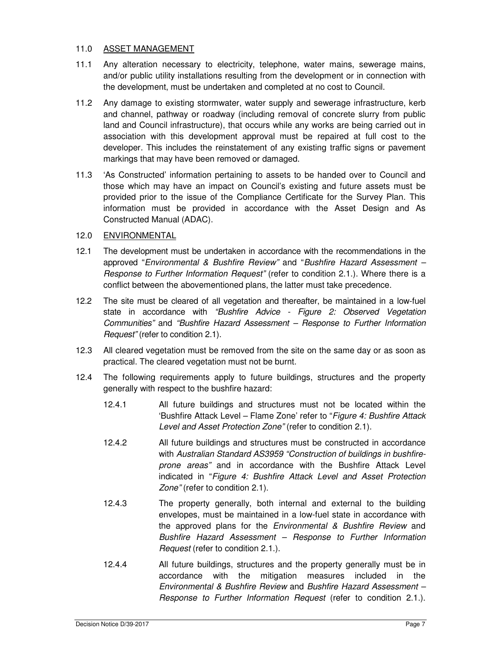# 11.0 ASSET MANAGEMENT

- 11.1 Any alteration necessary to electricity, telephone, water mains, sewerage mains, and/or public utility installations resulting from the development or in connection with the development, must be undertaken and completed at no cost to Council.
- 11.2 Any damage to existing stormwater, water supply and sewerage infrastructure, kerb and channel, pathway or roadway (including removal of concrete slurry from public land and Council infrastructure), that occurs while any works are being carried out in association with this development approval must be repaired at full cost to the developer. This includes the reinstatement of any existing traffic signs or pavement markings that may have been removed or damaged.
- 11.3 'As Constructed' information pertaining to assets to be handed over to Council and those which may have an impact on Council's existing and future assets must be provided prior to the issue of the Compliance Certificate for the Survey Plan. This information must be provided in accordance with the Asset Design and As Constructed Manual (ADAC).

# 12.0 ENVIRONMENTAL

- 12.1 The development must be undertaken in accordance with the recommendations in the approved "Environmental & Bushfire Review" and "Bushfire Hazard Assessment – Response to Further Information Request" (refer to condition 2.1.). Where there is a conflict between the abovementioned plans, the latter must take precedence.
- 12.2 The site must be cleared of all vegetation and thereafter, be maintained in a low-fuel state in accordance with "Bushfire Advice - Figure 2: Observed Vegetation Communities" and "Bushfire Hazard Assessment – Response to Further Information Request" (refer to condition 2.1).
- 12.3 All cleared vegetation must be removed from the site on the same day or as soon as practical. The cleared vegetation must not be burnt.
- 12.4 The following requirements apply to future buildings, structures and the property generally with respect to the bushfire hazard:
	- 12.4.1 All future buildings and structures must not be located within the 'Bushfire Attack Level – Flame Zone' refer to "Figure 4: Bushfire Attack Level and Asset Protection Zone" (refer to condition 2.1).
	- 12.4.2 All future buildings and structures must be constructed in accordance with Australian Standard AS3959 "Construction of buildings in bushfireprone areas" and in accordance with the Bushfire Attack Level indicated in "Figure 4: Bushfire Attack Level and Asset Protection Zone" (refer to condition 2.1).
	- 12.4.3 The property generally, both internal and external to the building envelopes, must be maintained in a low-fuel state in accordance with the approved plans for the Environmental & Bushfire Review and Bushfire Hazard Assessment – Response to Further Information Request (refer to condition 2.1.).
	- 12.4.4 All future buildings, structures and the property generally must be in accordance with the mitigation measures included in the Environmental & Bushfire Review and Bushfire Hazard Assessment – Response to Further Information Request (refer to condition 2.1.).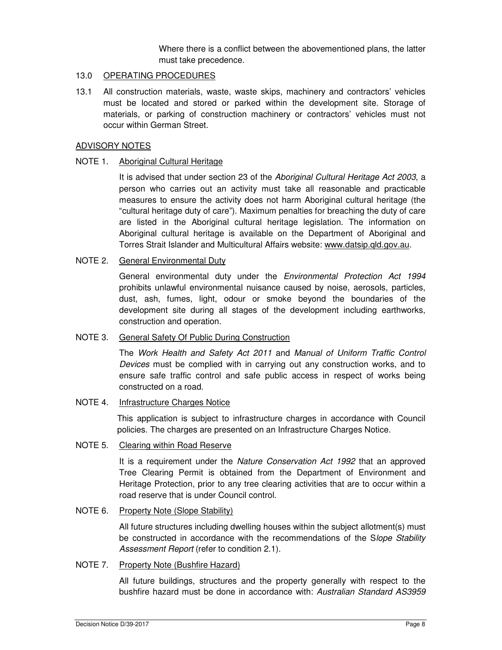Where there is a conflict between the abovementioned plans, the latter must take precedence.

## 13.0 OPERATING PROCEDURES

13.1 All construction materials, waste, waste skips, machinery and contractors' vehicles must be located and stored or parked within the development site. Storage of materials, or parking of construction machinery or contractors' vehicles must not occur within German Street.

#### ADVISORY NOTES

#### NOTE 1. Aboriginal Cultural Heritage

It is advised that under section 23 of the Aboriginal Cultural Heritage Act 2003, a person who carries out an activity must take all reasonable and practicable measures to ensure the activity does not harm Aboriginal cultural heritage (the "cultural heritage duty of care"). Maximum penalties for breaching the duty of care are listed in the Aboriginal cultural heritage legislation. The information on Aboriginal cultural heritage is available on the Department of Aboriginal and Torres Strait Islander and Multicultural Affairs website: www.datsip.qld.gov.au.

## NOTE 2. General Environmental Duty

General environmental duty under the Environmental Protection Act 1994 prohibits unlawful environmental nuisance caused by noise, aerosols, particles, dust, ash, fumes, light, odour or smoke beyond the boundaries of the development site during all stages of the development including earthworks, construction and operation.

## NOTE 3. General Safety Of Public During Construction

The Work Health and Safety Act 2011 and Manual of Uniform Traffic Control Devices must be complied with in carrying out any construction works, and to ensure safe traffic control and safe public access in respect of works being constructed on a road.

#### NOTE 4. Infrastructure Charges Notice

This application is subject to infrastructure charges in accordance with Council policies. The charges are presented on an Infrastructure Charges Notice.

#### NOTE 5. Clearing within Road Reserve

It is a requirement under the Nature Conservation Act 1992 that an approved Tree Clearing Permit is obtained from the Department of Environment and Heritage Protection, prior to any tree clearing activities that are to occur within a road reserve that is under Council control.

## NOTE 6. Property Note (Slope Stability)

All future structures including dwelling houses within the subject allotment(s) must be constructed in accordance with the recommendations of the Slope Stability Assessment Report (refer to condition 2.1).

## NOTE 7. Property Note (Bushfire Hazard)

All future buildings, structures and the property generally with respect to the bushfire hazard must be done in accordance with: Australian Standard AS3959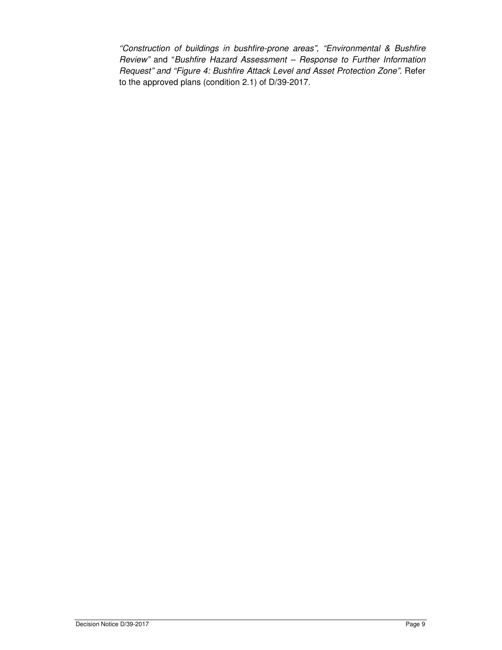"Construction of buildings in bushfire-prone areas", "Environmental & Bushfire Review" and "Bushfire Hazard Assessment – Response to Further Information Request" and "Figure 4: Bushfire Attack Level and Asset Protection Zone". Refer to the approved plans (condition 2.1) of D/39-2017.